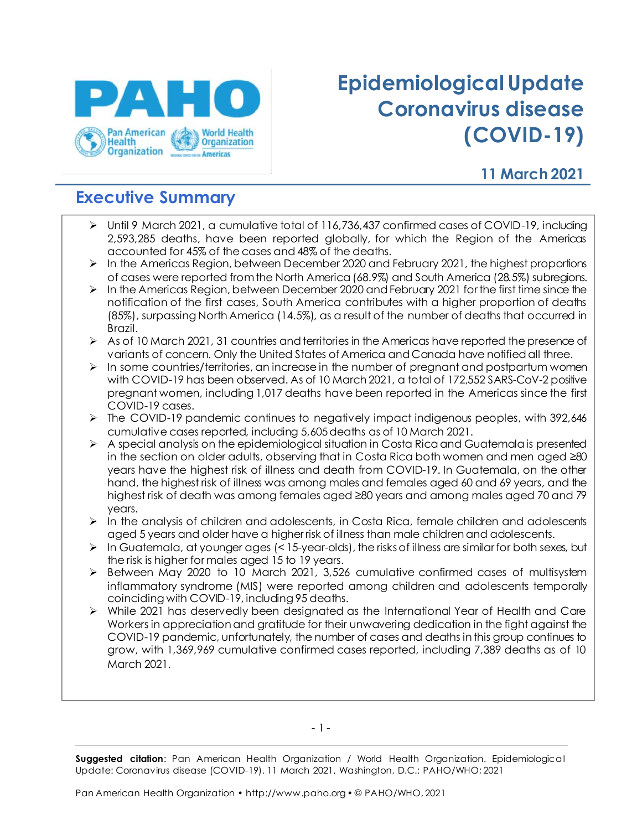

# **Epidemiological Update Coronavirus disease (COVID-19)**

### **11 March 2021**

## **Executive Summary**

- ➢ Until 9 March 2021, a cumulative total of 116,736,437 confirmed cases of COVID-19, including 2,593,285 deaths, have been reported globally, for which the Region of the Americas accounted for 45% of the cases and 48% of the deaths.
- ➢ In the Americas Region, between December 2020 and February 2021, the highest proportions of cases were reported from the North America (68.9%) and South America (28.5%) subregions.
- $\triangleright$  In the Americas Region, between December 2020 and February 2021 for the first time since the notification of the first cases, South America contributes with a higher proportion of deaths (85%), surpassing North America (14.5%), as a result of the number of deaths that occurred in Brazil.
- ➢ As of 10 March 2021, 31 countries and territories in the Americas have reported the presence of variants of concern. Only the United States of America and Canada have notified all three.
- $\triangleright$  In some countries/territories, an increase in the number of pregnant and postpartum women with COVID-19 has been observed. As of 10 March 2021, a total of 172,552 SARS-CoV-2 positive pregnant women, including 1,017 deaths have been reported in the Americas since the first COVID-19 cases.
- ➢ The COVID-19 pandemic continues to negatively impact indigenous peoples, with 392,646 cumulative cases reported, including 5,605 deaths as of 10 March 2021.
- $\triangleright$  A special analysis on the epidemiological situation in Costa Rica and Guatemala is presented in the section on older adults, observing that in Costa Rica both women and men aged ≥80 years have the highest risk of illness and death from COVID-19. In Guatemala, on the other hand, the highest risk of illness was among males and females aged 60 and 69 years, and the highest risk of death was among females aged ≥80 years and among males aged 70 and 79 years.
- $\triangleright$  In the analysis of children and adolescents, in Costa Rica, female children and adolescents aged 5 years and older have a higher risk of illness than male children and adolescents.
- $\triangleright$  In Guatemala, at younger ages (< 15-year-olds), the risks of illness are similar for both sexes, but the risk is higher for males aged 15 to 19 years.
- ➢ Between May 2020 to 10 March 2021, 3,526 cumulative confirmed cases of multisystem inflammatory syndrome (MIS) were reported among children and adolescents temporally coinciding with COVID-19, including 95 deaths.
- ➢ While 2021 has deservedly been designated as the International Year of Health and Care Workers in appreciation and gratitude for their unwavering dedication in the fight against the COVID-19 pandemic, unfortunately, the number of cases and deaths in this group continues to grow, with 1,369,969 cumulative confirmed cases reported, including 7,389 deaths as of 10 March 2021.

- 1 -

**Suggested citation**: Pan American Health Organization / World Health Organization. Epidemiological Update: Coronavirus disease (COVID-19). 11 March 2021, Washington, D.C.: PAHO/WHO; 2021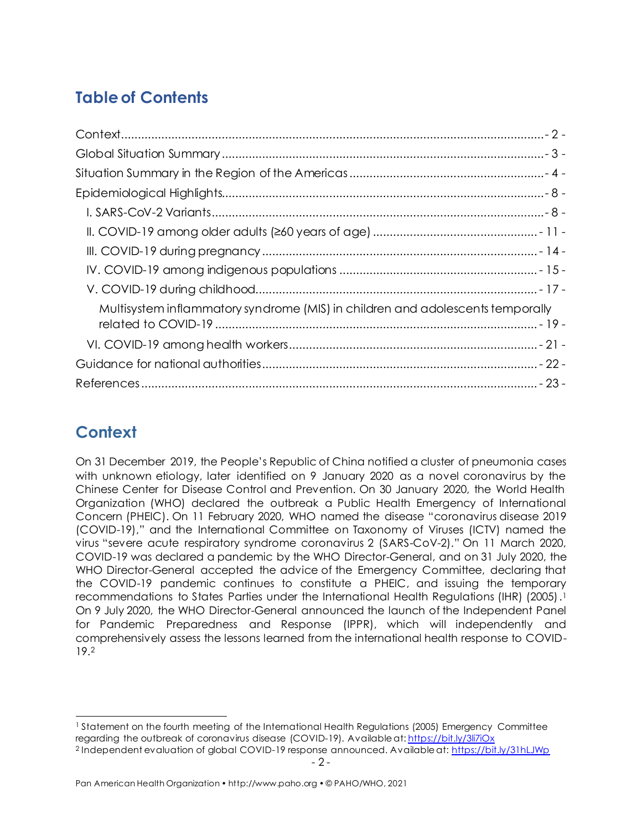# **Table of Contents**

| Multisystem inflammatory syndrome (MIS) in children and adolescents temporally |
|--------------------------------------------------------------------------------|
|                                                                                |
|                                                                                |
|                                                                                |

# <span id="page-1-0"></span>**Context**

On 31 December 2019, the People's Republic of China notified a cluster of pneumonia cases with unknown etiology, later identified on 9 January 2020 as a novel coronavirus by the Chinese Center for Disease Control and Prevention. On 30 January 2020, the World Health Organization (WHO) declared the outbreak a Public Health Emergency of International Concern (PHEIC). On 11 February 2020, WHO named the disease "coronavirus disease 2019 (COVID-19)," and the International Committee on Taxonomy of Viruses (ICTV) named the virus "severe acute respiratory syndrome coronavirus 2 (SARS-CoV-2)." On 11 March 2020, COVID-19 was declared a pandemic by the WHO Director-General, and on 31 July 2020, the WHO Director-General accepted the advice of the Emergency Committee, declaring that the COVID-19 pandemic continues to constitute a PHEIC, and issuing the temporary recommendations to States Parties under the International Health Regulations (IHR) (2005). 1 On 9 July 2020, the WHO Director-General announced the launch of the Independent Panel for Pandemic Preparedness and Response (IPPR), which will independently and comprehensively assess the lessons learned from the international health response to COVID-19. 2

<sup>&</sup>lt;sup>1</sup> Statement on the fourth meeting of the International Health Regulations (2005) Emergency Committee regarding the outbreak of coronavirus disease (COVID-19). Available at[: https://bit.ly/3li7iOx](https://bit.ly/3li7iOx) 

<sup>-</sup> 2 - <sup>2</sup> Independent evaluation of global COVID-19 response announced. Available at[: https://bit.ly/31hLJWp](https://bit.ly/31hLJWp)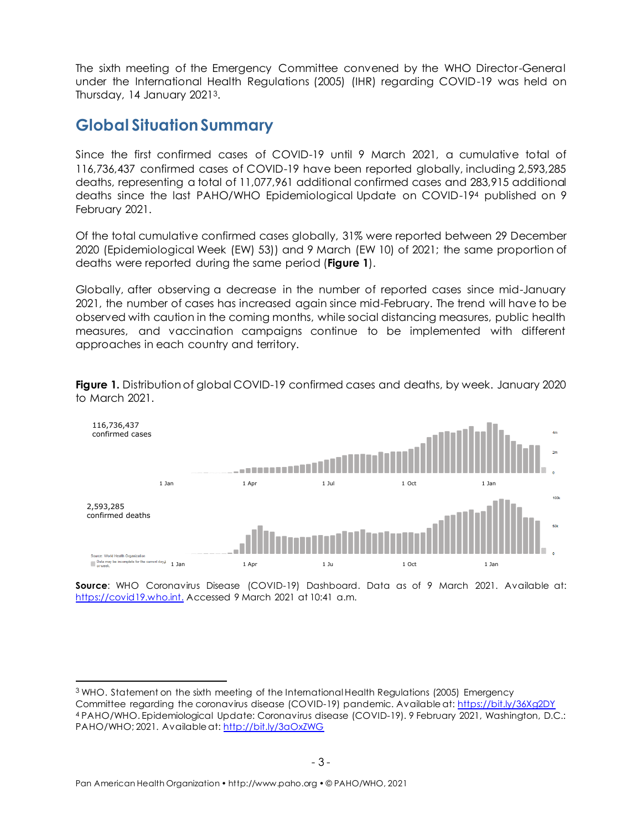The sixth meeting of the Emergency Committee convened by the WHO Director-General under the International Health Regulations (2005) (IHR) regarding COVID-19 was held on Thursday, 14 January 20213.

### <span id="page-2-0"></span>**Global Situation Summary**

Since the first confirmed cases of COVID-19 until 9 March 2021, a cumulative total of 116,736,437 confirmed cases of COVID-19 have been reported globally, including 2,593,285 deaths, representing a total of 11,077,961 additional confirmed cases and 283,915 additional deaths since the last PAHO/WHO Epidemiological Update on COVID-19<sup>4</sup> published on 9 February 2021.

Of the total cumulative confirmed cases globally, 31% were reported between 29 December 2020 (Epidemiological Week (EW) 53)) and 9 March (EW 10) of 2021; the same proportion of deaths were reported during the same period (**Figure 1**).

Globally, after observing a decrease in the number of reported cases since mid-January 2021, the number of cases has increased again since mid-February. The trend will have to be observed with caution in the coming months, while social distancing measures, public health measures, and vaccination campaigns continue to be implemented with different approaches in each country and territory.

**Figure 1.** Distribution of global COVID-19 confirmed cases and deaths, by week. January 2020 to March 2021.



**Source**: WHO Coronavirus Disease (COVID-19) Dashboard. Data as of 9 March 2021. Available at: [https://covid19.who.int.](https://covid19.who.int/) Accessed 9 March 2021 at 10:41 a.m.

<sup>3</sup> WHO. Statement on the sixth meeting of the International Health Regulations (2005) Emergency Committee regarding the coronavirus disease (COVID-19) pandemic. Available at: <https://bit.ly/36Xg2DY> <sup>4</sup> PAHO/WHO. Epidemiological Update: Coronavirus disease (COVID-19). 9 February 2021, Washington, D.C.: PAHO/WHO; 2021. Available at[: http://bit.ly/3aOxZWG](http://bit.ly/3aOxZWG)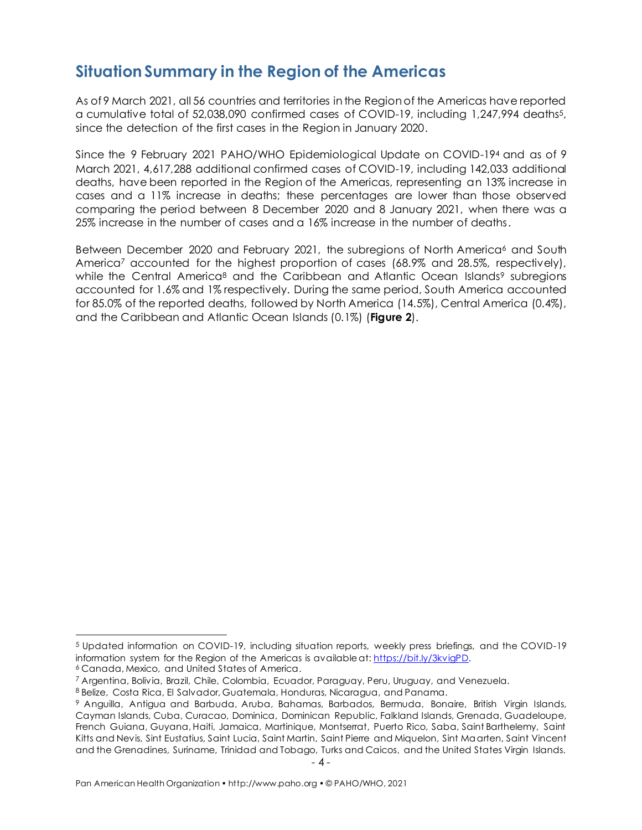## <span id="page-3-0"></span>**Situation Summary in the Region of the Americas**

As of 9 March 2021, all 56 countries and territories in the Region of the Americas have reported a cumulative total of 52,038,090 confirmed cases of COVID-19, including 1,247,994 deaths5, since the detection of the first cases in the Region in January 2020.

Since the 9 February 2021 PAHO/WHO Epidemiological Update on COVID-194 and as of 9 March 2021, 4,617,288 additional confirmed cases of COVID-19, including 142,033 additional deaths, have been reported in the Region of the Americas, representing an 13% increase in cases and a 11% increase in deaths; these percentages are lower than those observed comparing the period between 8 December 2020 and 8 January 2021, when there was a 25% increase in the number of cases and a 16% increase in the number of deaths.

Between December 2020 and February 2021, the subregions of North America<sup>6</sup> and South America<sup>7</sup> accounted for the highest proportion of cases (68.9% and 28.5%, respectively), while the Central America<sup>8</sup> and the Caribbean and Atlantic Ocean Islands<sup>9</sup> subregions accounted for 1.6% and 1% respectively. During the same period, South America accounted for 85.0% of the reported deaths, followed by North America (14.5%), Central America (0.4%), and the Caribbean and Atlantic Ocean Islands (0.1%) (**Figure 2**).

<sup>5</sup> Updated information on COVID-19, including situation reports, weekly press briefings, and the COVID-19 information system for the Region of the Americas is available at[: https://bit.ly/3kvigPD.](https://bit.ly/3kvigPD)

<sup>6</sup> Canada, Mexico, and United States of America.

<sup>7</sup> Argentina, Bolivia, Brazil, Chile, Colombia, Ecuador, Paraguay, Peru, Uruguay, and Venezuela.

<sup>8</sup> Belize, Costa Rica, El Salvador, Guatemala, Honduras, Nicaragua, and Panama.

<sup>9</sup> Anguilla, Antigua and Barbuda, Aruba, Bahamas, Barbados, Bermuda, Bonaire, British Virgin Islands, Cayman Islands, Cuba, Curacao, Dominica, Dominican Republic, Falkland Islands, Grenada, Guadeloupe, French Guiana, Guyana, Haiti, Jamaica, Martinique, Montserrat, Puerto Rico, Saba, Saint Barthelemy, Saint Kitts and Nevis, Sint Eustatius, Saint Lucia, Saint Martin, Saint Pierre and Miquelon, Sint Maarten, Saint Vincent and the Grenadines, Suriname, Trinidad and Tobago, Turks and Caicos, and the United States Virgin Islands.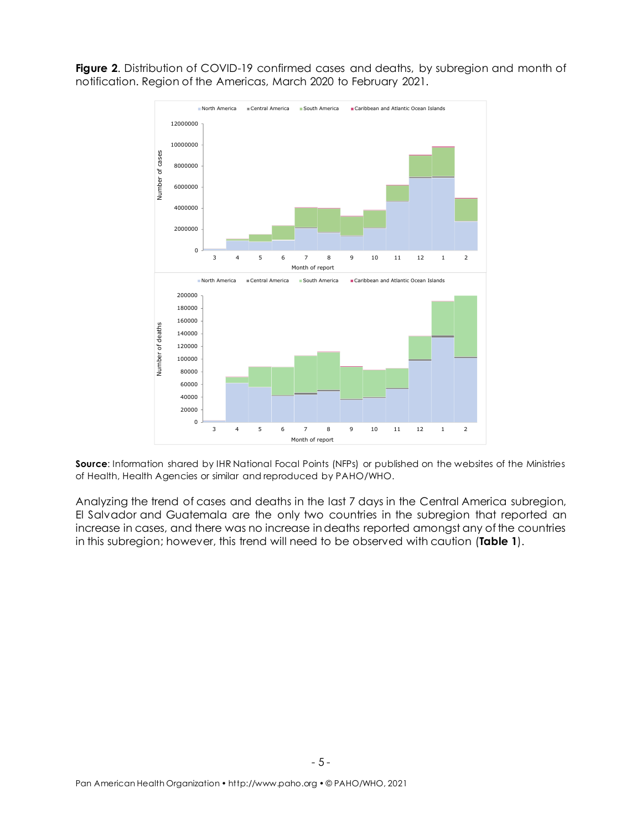Figure 2. Distribution of COVID-19 confirmed cases and deaths, by subregion and month of notification. Region of the Americas, March 2020 to February 2021.



**Source:** Information shared by IHR National Focal Points (NFPs) or published on the websites of the Ministries of Health, Health Agencies or similar and reproduced by PAHO/WHO.

Analyzing the trend of cases and deaths in the last 7 days in the Central America subregion, El Salvador and Guatemala are the only two countries in the subregion that reported an increase in cases, and there was no increase in deaths reported amongst any of the countries in this subregion; however, this trend will need to be observed with caution (**Table 1**).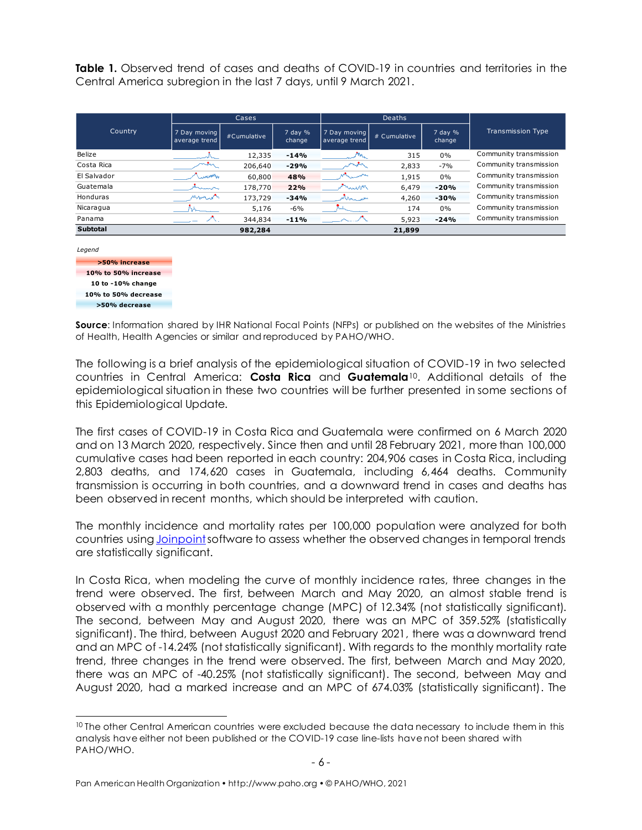**Table 1.** Observed trend of cases and deaths of COVID-19 in countries and territories in the Central America subregion in the last 7 days, until 9 March 2021.

|                 |                               | Cases       |                   |                               | <b>Deaths</b> |                       |                          |
|-----------------|-------------------------------|-------------|-------------------|-------------------------------|---------------|-----------------------|--------------------------|
| Country         | 7 Day moving<br>average trend | #Cumulative | 7 day %<br>change | 7 Day moving<br>average trend | # Cumulative  | $7$ day $%$<br>change | <b>Transmission Type</b> |
| Belize          | سالمنسد                       | 12,335      | $-14%$            | بدايهم والمحرر                | 315           | 0%                    | Community transmission   |
| Costa Rica      | may                           | 206,640     | $-29%$            | بالمعالية والمحارير           | 2,833         | $-7%$                 | Community transmission   |
| El Salvador     | بالمصمص وريا                  | 60,800      | 48%               | المتهمس والمهم                | 1,915         | 0%                    | Community transmission   |
| Guatemala       | يتحيسنك                       | 178,770     | 22%               | mumor                         | 6,479         | $-20%$                | Community transmission   |
| Honduras        | mman                          | 173,729     | $-34%$            | التعمد المتحاملين             | 4,260         | $-30%$                | Community transmission   |
| Nicaragua       |                               | 5,176       | $-6%$             |                               | 174           | $0\%$                 | Community transmission   |
| Panama          |                               | 344,834     | $-11%$            | <u>Samuri A</u>               | 5,923         | $-24%$                | Community transmission   |
| <b>Subtotal</b> |                               | 982,284     |                   |                               | 21,899        |                       |                          |

*Legend*



**Source**: Information shared by IHR National Focal Points (NFPs) or published on the websites of the Ministries of Health, Health Agencies or similar and reproduced by PAHO/WHO.

The following is a brief analysis of the epidemiological situation of COVID-19 in two selected countries in Central America: **Costa Rica** and **Guatemala**10. Additional details of the epidemiological situation in these two countries will be further presented in some sections of this Epidemiological Update.

The first cases of COVID-19 in Costa Rica and Guatemala were confirmed on 6 March 2020 and on 13 March 2020, respectively. Since then and until 28 February 2021, more than 100,000 cumulative cases had been reported in each country: 204,906 cases in Costa Rica, including 2,803 deaths, and 174,620 cases in Guatemala, including 6,464 deaths. Community transmission is occurring in both countries, and a downward trend in cases and deaths has been observed in recent months, which should be interpreted with caution.

The monthly incidence and mortality rates per 100,000 population were analyzed for both countries using Joinpoint software to assess whether the observed changes in temporal trends are statistically significant.

In Costa Rica, when modeling the curve of monthly incidence rates, three changes in the trend were observed. The first, between March and May 2020, an almost stable trend is observed with a monthly percentage change (MPC) of 12.34% (not statistically significant). The second, between May and August 2020, there was an MPC of 359.52% (statistically significant). The third, between August 2020 and February 2021, there was a downward trend and an MPC of -14.24% (not statistically significant). With regards to the monthly mortality rate trend, three changes in the trend were observed. The first, between March and May 2020, there was an MPC of -40.25% (not statistically significant). The second, between May and August 2020, had a marked increase and an MPC of 674.03% (statistically significant). The

<sup>&</sup>lt;sup>10</sup> The other Central American countries were excluded because the data necessary to include them in this analysis have either not been published or the COVID-19 case line-lists have not been shared with PAHO/WHO.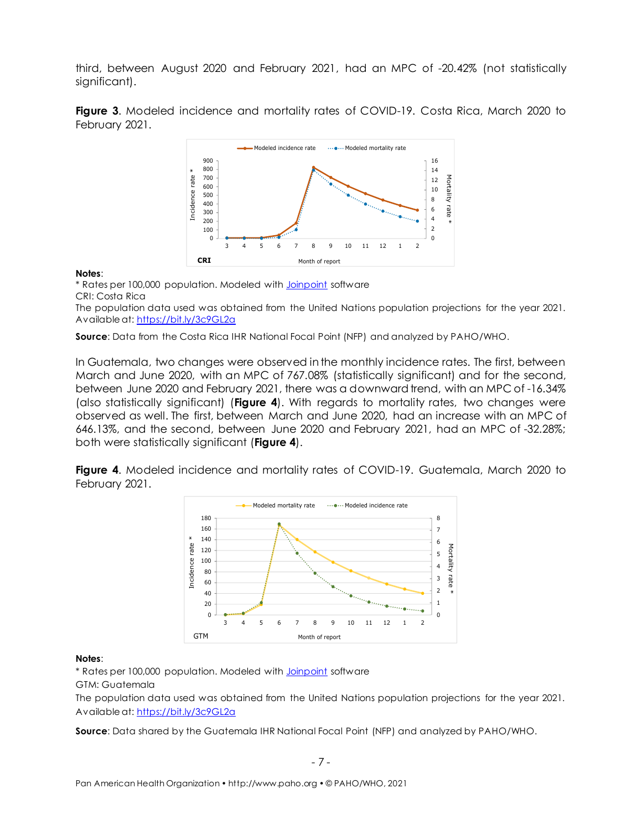third, between August 2020 and February 2021, had an MPC of -20.42% (not statistically significant).

**Figure 3**. Modeled incidence and mortality rates of COVID-19. Costa Rica, March 2020 to February 2021.



#### **Notes**:

\* Rates per 100,000 population. Modeled wit[h Joinpoint](https://surveillance.cancer.gov/joinpoint/) software CRI: Costa Rica

The population data used was obtained from the United Nations population projections for the year 2021. Available at[: https://bit.ly/3c9GL2a](https://bit.ly/3c9GL2a)

**Source**: Data from the Costa Rica IHR National Focal Point (NFP) and analyzed by PAHO/WHO.

In Guatemala, two changes were observed in the monthly incidence rates. The first, between March and June 2020, with an MPC of 767.08% (statistically significant) and for the second, between June 2020 and February 2021, there was a downward trend, with an MPC of -16.34% (also statistically significant) (**Figure 4**). With regards to mortality rates, two changes were observed as well. The first, between March and June 2020, had an increase with an MPC of 646.13%, and the second, between June 2020 and February 2021, had an MPC of -32.28%; both were statistically significant (**Figure 4**).

**Figure 4.** Modeled incidence and mortality rates of COVID-19. Guatemala, March 2020 to February 2021.



#### **Notes**:

\* Rates per 100,000 population. Modeled wit[h Joinpoint](https://surveillance.cancer.gov/joinpoint/) software

GTM: Guatemala

The population data used was obtained from the United Nations population projections for the year 2021. Available at[: https://bit.ly/3c9GL2a](https://bit.ly/3c9GL2a)

**Source**: Data shared by the Guatemala IHR National Focal Point (NFP) and analyzed by PAHO/WHO.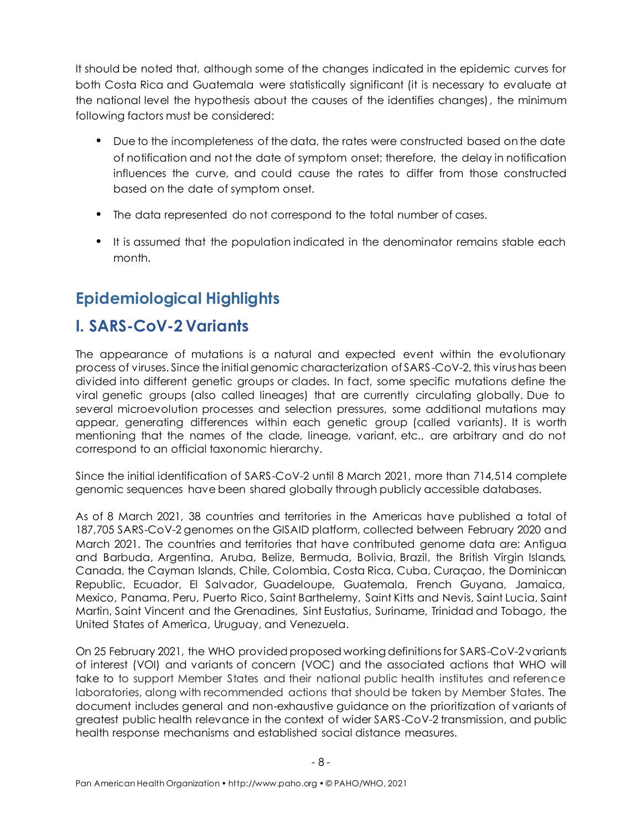It should be noted that, although some of the changes indicated in the epidemic curves for both Costa Rica and Guatemala were statistically significant (it is necessary to evaluate at the national level the hypothesis about the causes of the identifies changes), the minimum following factors must be considered:

- Due to the incompleteness of the data, the rates were constructed based on the date of notification and not the date of symptom onset; therefore, the delay in notification influences the curve, and could cause the rates to differ from those constructed based on the date of symptom onset.
- The data represented do not correspond to the total number of cases.
- It is assumed that the population indicated in the denominator remains stable each month.

# <span id="page-7-0"></span>**Epidemiological Highlights**

# <span id="page-7-1"></span>**I. SARS-CoV-2 Variants**

The appearance of mutations is a natural and expected event within the evolutionary process of viruses. Since the initial genomic characterization of SARS-CoV-2, this virus has been divided into different genetic groups or clades. In fact, some specific mutations define the viral genetic groups (also called lineages) that are currently circulating globally. Due to several microevolution processes and selection pressures, some additional mutations may appear, generating differences within each genetic group (called variants). It is worth mentioning that the names of the clade, lineage, variant, etc., are arbitrary and do not correspond to an official taxonomic hierarchy.

Since the initial identification of SARS-CoV-2 until 8 March 2021, more than 714,514 complete genomic sequences have been shared globally through publicly accessible databases.

As of 8 March 2021, 38 countries and territories in the Americas have published a total of 187,705 SARS-CoV-2 genomes on the GISAID platform, collected between February 2020 and March 2021. The countries and territories that have contributed genome data are: Antigua and Barbuda, Argentina, Aruba, Belize, Bermuda, Bolivia, Brazil, the British Virgin Islands, Canada, the Cayman Islands, Chile, Colombia, Costa Rica, Cuba, Curaçao, the Dominican Republic, Ecuador, El Salvador, Guadeloupe, Guatemala, French Guyana, Jamaica, Mexico, Panama, Peru, Puerto Rico, Saint Barthelemy, Saint Kitts and Nevis, Saint Lucia, Saint Martin, Saint Vincent and the Grenadines, Sint Eustatius, Suriname, Trinidad and Tobago, the United States of America, Uruguay, and Venezuela.

On 25 February 2021, the WHO provided proposed working definitions for SARS-CoV-2 variants of interest (VOI) and variants of concern (VOC) and the associated actions that WHO will take to to support Member States and their national public health institutes and reference laboratories, along with recommended actions that should be taken by Member States. The document includes general and non-exhaustive guidance on the prioritization of variants of greatest public health relevance in the context of wider SARS-CoV-2 transmission, and public health response mechanisms and established social distance measures.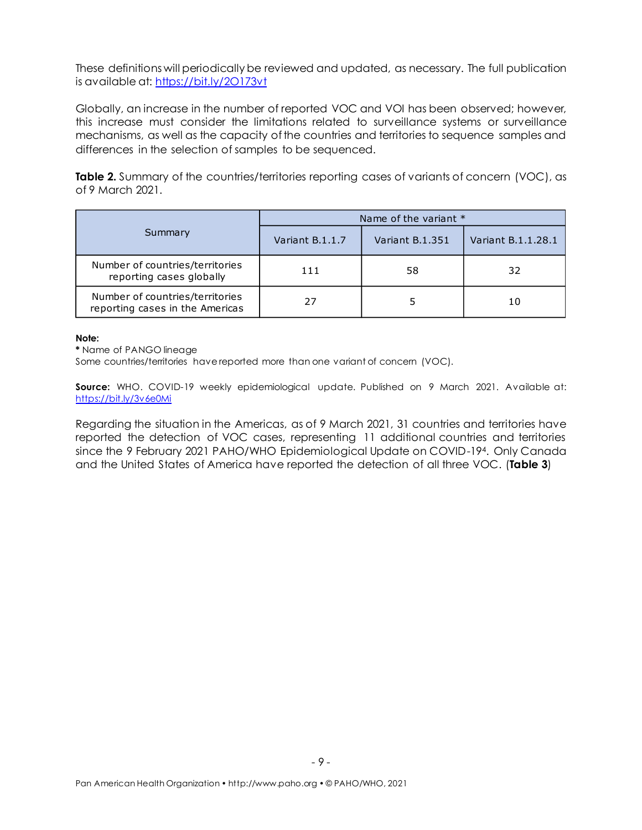These definitions will periodically be reviewed and updated, as necessary. The full publication is available at: https://bit.ly/20173vt

Globally, an increase in the number of reported VOC and VOI has been observed; however, this increase must consider the limitations related to surveillance systems or surveillance mechanisms, as well as the capacity of the countries and territories to sequence samples and differences in the selection of samples to be sequenced.

**Table 2.** Summary of the countries/territories reporting cases of variants of concern (VOC), as of 9 March 2021.

|                                                                    |                 | Name of the variant * |                    |
|--------------------------------------------------------------------|-----------------|-----------------------|--------------------|
| Summary                                                            | Variant B.1.1.7 | Variant B.1.351       | Variant B.1.1.28.1 |
| Number of countries/territories<br>reporting cases globally        | 111             | 58                    | 32                 |
| Number of countries/territories<br>reporting cases in the Americas | 27              |                       | 10                 |

#### **Note:**

**\*** Name of PANGO lineage

Some countries/territories have reported more than one variant of concern (VOC).

**Source:** WHO. COVID-19 weekly epidemiological update. Published on 9 March 2021. Available at: <https://bit.ly/3v6e0Mi>

Regarding the situation in the Americas, as of 9 March 2021, 31 countries and territories have reported the detection of VOC cases, representing 11 additional countries and territories since the 9 February 2021 PAHO/WHO Epidemiological Update on COVID-194. Only Canada and the United States of America have reported the detection of all three VOC. (**Table 3**)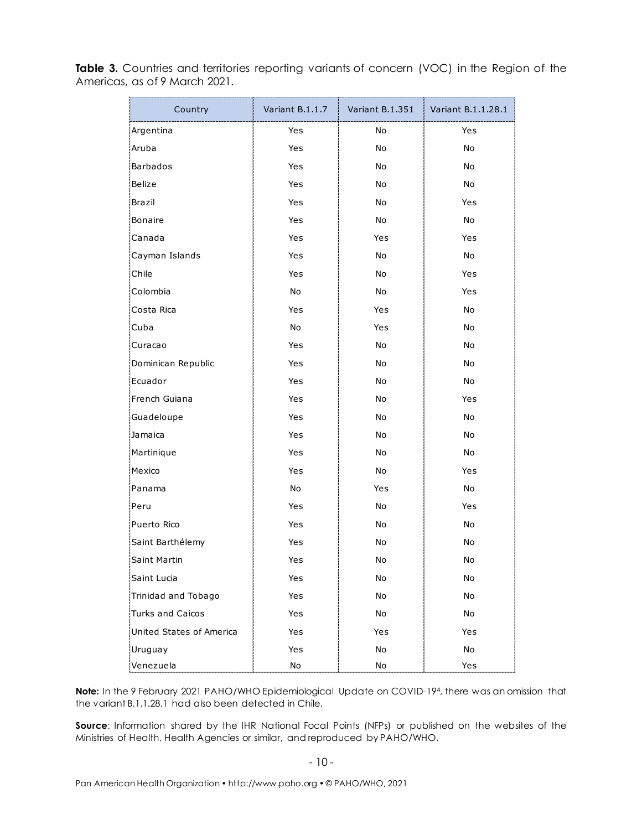| Country                  | Variant B.1.1.7 | Variant B.1.351              | Variant B.1.1.28.1 |
|--------------------------|-----------------|------------------------------|--------------------|
| Argentina                | Yes             | No                           | Yes                |
| Aruba                    | Yes             | No                           | No                 |
| <b>Barbados</b>          | Yes             | No                           | No                 |
| Belize                   | Yes             | No                           | No                 |
| Brazil                   | Yes             | No                           | Yes                |
| Bonaire                  | Yes             | No                           | No                 |
| Canada                   | Yes             | Yes                          | Yes                |
| Cayman Islands           | Yes             | No                           | No                 |
| Chile                    | Yes             | No                           | Yes                |
| Colombia                 | No              | No                           | Yes                |
| Costa Rica               | Yes             | Yes                          | No                 |
| Cuba                     | No              | Yes                          | No                 |
| Curacao                  | Yes             | No                           | No                 |
| Dominican Republic       | Yes             | No                           | No                 |
| Ecuador                  | Yes             | No                           | No                 |
| French Guiana            | Yes             | No                           | Yes                |
| Guadeloupe               | Yes             | No                           | No                 |
| Jamaica                  | Yes             | No                           | No                 |
| Martinique               | Yes             | No                           | No                 |
| Mexico                   | Yes             | No                           | Yes                |
| Panama                   | No              | Yes                          | No                 |
| Peru                     | Yes             | No                           | Yes                |
| Puerto Rico              | Yes             | No                           | No                 |
| Saint Barthélemy         | Yes             | No                           | No                 |
| Saint Martin             | Yes             | No                           | No                 |
| Saint Lucia              | Yes             | No                           | No                 |
| Trinidad and Tobago      | Yes             | No                           | No                 |
| <b>Turks and Caicos</b>  | Yes             | No                           | No                 |
| United States of America | Yes             | Yes                          | Yes                |
| Uruguay                  | Yes             | No                           | No                 |
| Venezuela                | $\mathsf{No}$   | $\operatorname{\mathsf{No}}$ | Yes                |

Table 3. Countries and territories reporting variants of concern (VOC) in the Region of the Americas, as of 9 March 2021.

**Note:** In the 9 February 2021 PAHO/WHO Epidemiological Update on COVID-194, there was an omission that the variant B.1.1.28.1 had also been detected in Chile.

**Source**: Information shared by the IHR National Focal Points (NFPs) or published on the websites of the Ministries of Health, Health Agencies or similar, and reproduced by PAHO/WHO.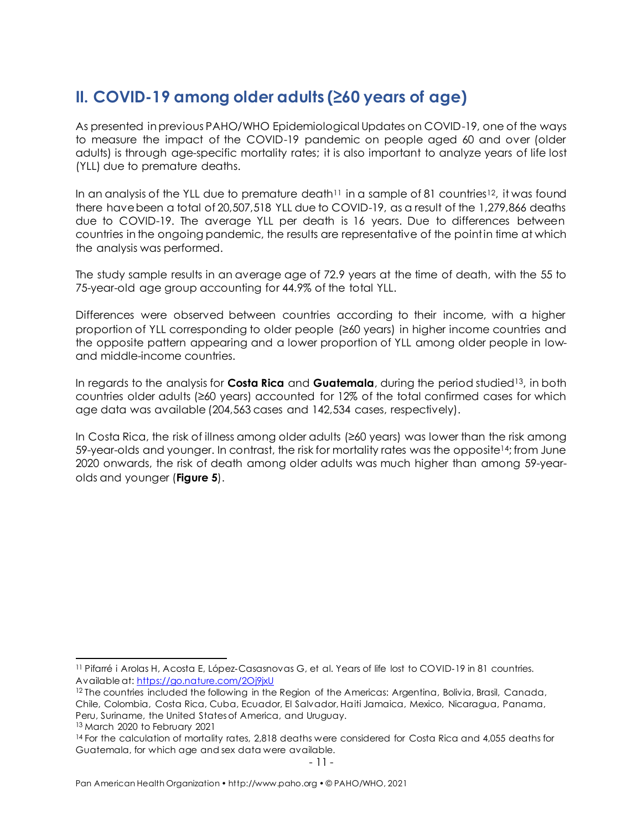# <span id="page-10-0"></span>**II. COVID-19 among older adults (≥60 years of age)**

As presented in previous PAHO/WHO Epidemiological Updates on COVID-19, one of the ways to measure the impact of the COVID-19 pandemic on people aged 60 and over (older adults) is through age-specific mortality rates; it is also important to analyze years of life lost (YLL) due to premature deaths.

In an analysis of the YLL due to premature death $11$  in a sample of 81 countries<sup>12</sup>, it was found there have been a total of 20,507,518 YLL due to COVID-19, as a result of the 1,279,866 deaths due to COVID-19. The average YLL per death is 16 years. Due to differences between countries in the ongoing pandemic, the results are representative of the point in time at which the analysis was performed.

The study sample results in an average age of 72.9 years at the time of death, with the 55 to 75-year-old age group accounting for 44.9% of the total YLL.

Differences were observed between countries according to their income, with a higher proportion of YLL corresponding to older people (≥60 years) in higher income countries and the opposite pattern appearing and a lower proportion of YLL among older people in lowand middle-income countries.

In regards to the analysis for **Costa Rica** and **Guatemala**, during the period studied13, in both countries older adults (≥60 years) accounted for 12% of the total confirmed cases for which age data was available (204,563 cases and 142,534 cases, respectively).

In Costa Rica, the risk of illness among older adults (≥60 years) was lower than the risk among 59-year-olds and younger. In contrast, the risk for mortality rates was the opposite14; from June 2020 onwards, the risk of death among older adults was much higher than among 59-yearolds and younger (**Figure 5**).

<sup>&</sup>lt;sup>11</sup> Pifarré i Arolas H, Acosta E, López-Casasnovas G, et al. Years of life lost to COVID-19 in 81 countries. Available at[: https://go.nature.com/2Oj9jxU](https://go.nature.com/2Oj9jxU)

<sup>&</sup>lt;sup>12</sup> The countries included the following in the Region of the Americas: Argentina, Bolivia, Brasil, Canada, Chile, Colombia, Costa Rica, Cuba, Ecuador, El Salvador, Haiti Jamaica, Mexico, Nicaragua, Panama, Peru, Suriname, the United States of America, and Uruguay.

<sup>13</sup> March 2020 to February 2021

<sup>&</sup>lt;sup>14</sup> For the calculation of mortality rates, 2,818 deaths were considered for Costa Rica and 4,055 deaths for Guatemala, for which age and sex data were available.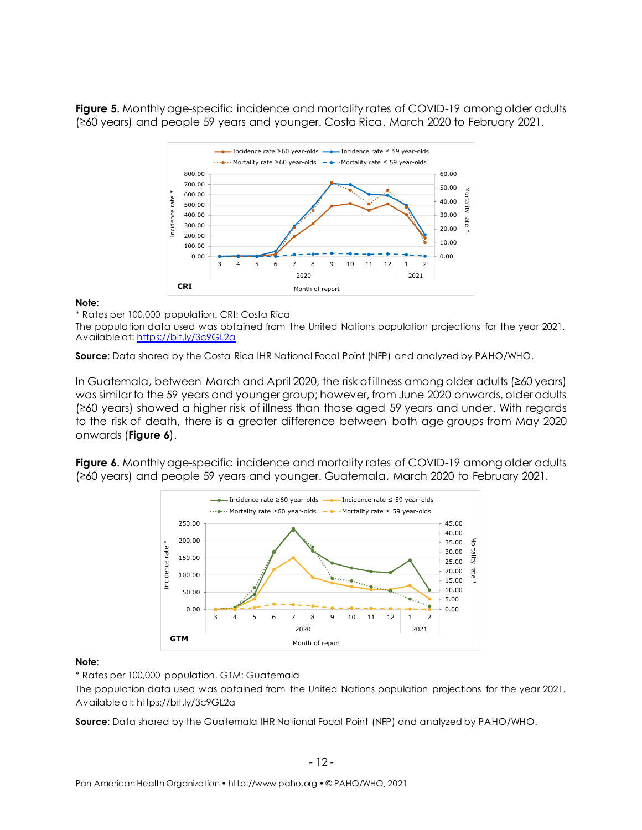**Figure 5**. Monthly age-specific incidence and mortality rates of COVID-19 among older adults (≥60 years) and people 59 years and younger. Costa Rica. March 2020 to February 2021.



#### **Note**:

\* Rates per 100,000 population. CRI: Costa Rica

The population data used was obtained from the United Nations population projections for the year 2021. Available at[: https://bit.ly/3c9GL2a](https://bit.ly/3c9GL2a)

**Source**: Data shared by the Costa Rica IHR National Focal Point (NFP) and analyzed by PAHO/WHO.

In Guatemala, between March and April 2020, the risk of illness among older adults (≥60 years) was similar to the 59 years and younger group; however, from June 2020 onwards, older adults (≥60 years) showed a higher risk of illness than those aged 59 years and under. With regards to the risk of death, there is a greater difference between both age groups from May 2020 onwards (**Figure 6**).

**Figure 6.** Monthly age-specific incidence and mortality rates of COVID-19 among older adults (≥60 years) and people 59 years and younger. Guatemala, March 2020 to February 2021.



#### **Note**:

\* Rates per 100,000 population. GTM: Guatemala

The population data used was obtained from the United Nations population projections for the year 2021. Available at: https://bit.ly/3c9GL2a

**Source**: Data shared by the Guatemala IHR National Focal Point (NFP) and analyzed by PAHO/WHO.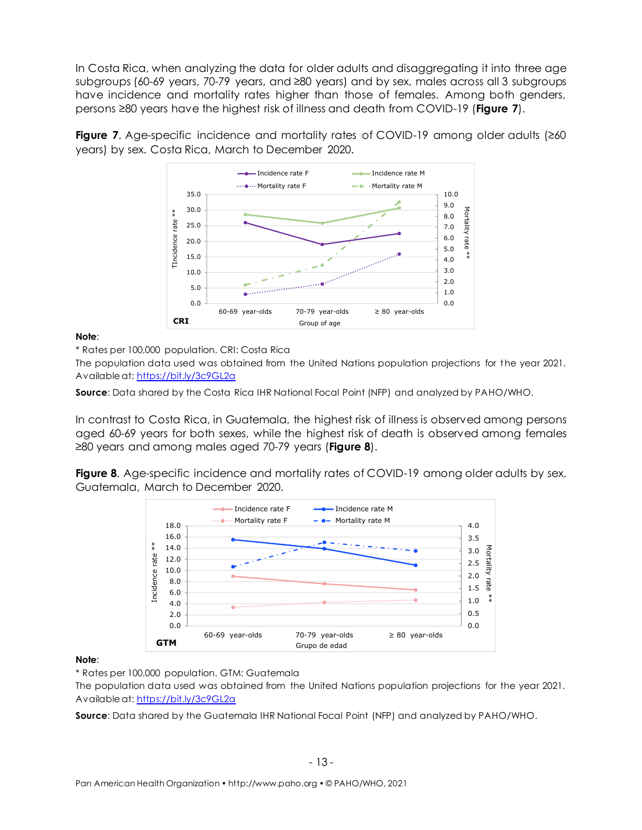In Costa Rica, when analyzing the data for older adults and disaggregating it into three age subgroups (60-69 years, 70-79 years, and ≥80 years) and by sex, males across all 3 subgroups have incidence and mortality rates higher than those of females. Among both genders, persons ≥80 years have the highest risk of illness and death from COVID-19 (**Figure 7**).

**Figure 7.** Age-specific incidence and mortality rates of COVID-19 among older adults (≥60 years) by sex. Costa Rica, March to December 2020.



**Note**:

\* Rates per 100,000 population. CRI: Costa Rica

The population data used was obtained from the United Nations population projections for the year 2021. Available at[: https://bit.ly/3c9GL2a](https://bit.ly/3c9GL2a)

**Source:** Data shared by the Costa Rica IHR National Focal Point (NFP) and analyzed by PAHO/WHO.

In contrast to Costa Rica, in Guatemala, the highest risk of illness is observed among persons aged 60-69 years for both sexes, while the highest risk of death is observed among females ≥80 years and among males aged 70-79 years (**Figure 8**).

**Figure 8.** Age-specific incidence and mortality rates of COVID-19 among older adults by sex. Guatemala, March to December 2020.



#### **Note**:

\* Rates per 100,000 population. GTM: Guatemala

The population data used was obtained from the United Nations population projections for the year 2021. Available at[: https://bit.ly/3c9GL2a](https://bit.ly/3c9GL2a)

**Source**: Data shared by the Guatemala IHR National Focal Point (NFP) and analyzed by PAHO/WHO.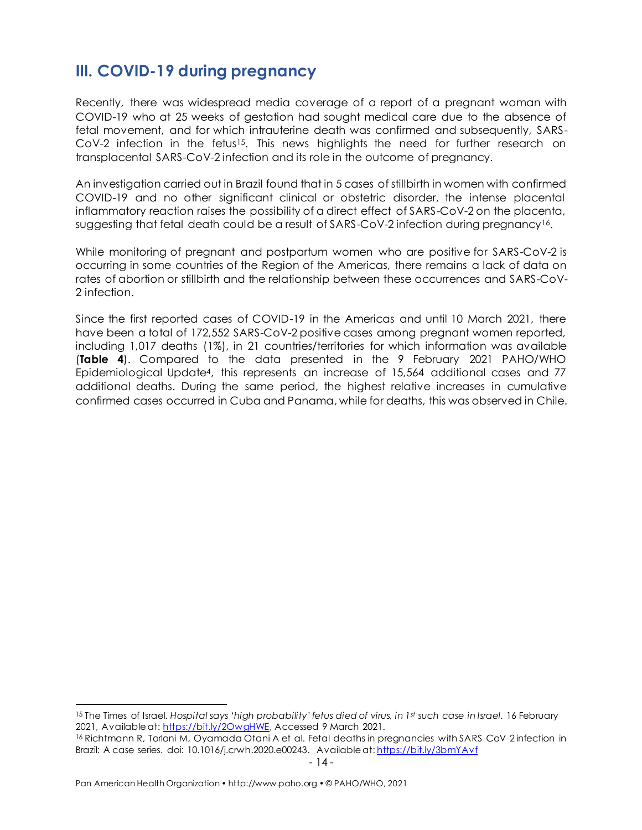# <span id="page-13-0"></span>**III. COVID-19 during pregnancy**

Recently, there was widespread media coverage of a report of a pregnant woman with COVID-19 who at 25 weeks of gestation had sought medical care due to the absence of fetal movement, and for which intrauterine death was confirmed and subsequently, SARS- $Cov-2$  infection in the fetus<sup>15</sup>. This news highlights the need for further research on transplacental SARS-CoV-2 infection and its role in the outcome of pregnancy.

An investigation carried out in Brazil found that in 5 cases of stillbirth in women with confirmed COVID-19 and no other significant clinical or obstetric disorder, the intense placental inflammatory reaction raises the possibility of a direct effect of SARS-CoV-2 on the placenta, suggesting that fetal death could be a result of SARS-CoV-2 infection during pregnancy16.

While monitoring of pregnant and postpartum women who are positive for SARS-CoV-2 is occurring in some countries of the Region of the Americas, there remains a lack of data on rates of abortion or stillbirth and the relationship between these occurrences and SARS-CoV-2 infection.

Since the first reported cases of COVID-19 in the Americas and until 10 March 2021, there have been a total of 172,552 SARS-CoV-2 positive cases among pregnant women reported, including 1,017 deaths (1%), in 21 countries/territories for which information was available (**Table 4**). Compared to the data presented in the 9 February 2021 PAHO/WHO Epidemiological Update4, this represents an increase of 15,564 additional cases and 77 additional deaths. During the same period, the highest relative increases in cumulative confirmed cases occurred in Cuba and Panama, while for deaths, this was observed in Chile.

<sup>15</sup> The Times of Israel. *Hospital says 'high probability' fetus died of virus, in 1st such case in Israel*. 16 February 2021, Available at: [https://bit.ly/2OwgHWE,](https://bit.ly/2OwgHWE) Accessed 9 March 2021.

<sup>16</sup> Richtmann R, Torloni M, Oyamada Otani A et al. Fetal deaths in pregnancies with SARS-CoV-2 infection in Brazil: A case series. doi: 10.1016/j.crwh.2020.e00243. Available at: <https://bit.ly/3bmYAvf>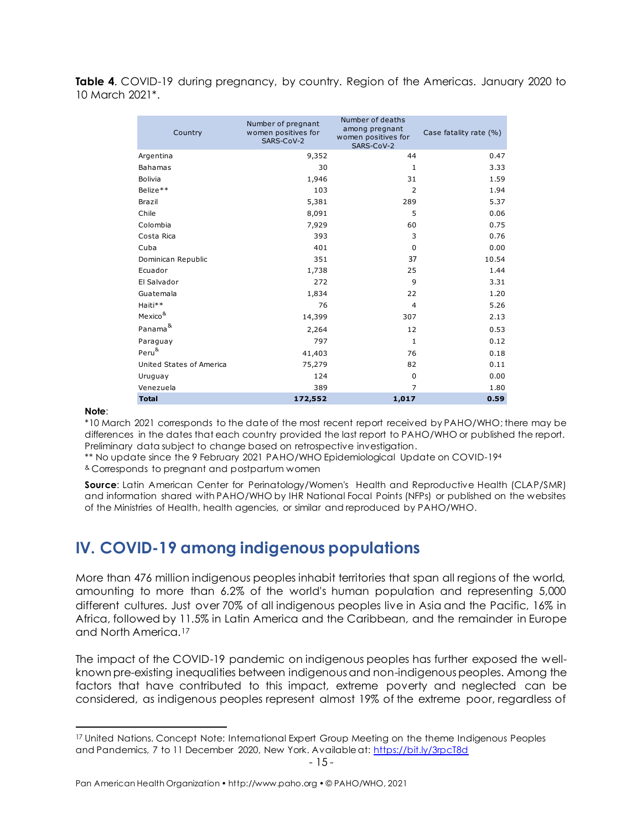**Table 4**. COVID-19 during pregnancy, by country. Region of the Americas. January 2020 to 10 March 2021\*.

| Country                  | Number of pregnant<br>women positives for<br>SARS-CoV-2 | Number of deaths<br>among pregnant<br>women positives for<br>SARS-CoV-2 | Case fatality rate (%) |
|--------------------------|---------------------------------------------------------|-------------------------------------------------------------------------|------------------------|
| Argentina                | 9,352                                                   | 44                                                                      | 0.47                   |
| <b>Bahamas</b>           | 30                                                      | $\mathbf{1}$                                                            | 3.33                   |
| Bolivia                  | 1,946                                                   | 31                                                                      | 1.59                   |
| Belize**                 | 103                                                     | $\overline{2}$                                                          | 1.94                   |
| Brazil                   | 5,381                                                   | 289                                                                     | 5.37                   |
| Chile                    | 8,091                                                   | 5                                                                       | 0.06                   |
| Colombia                 | 7,929                                                   | 60                                                                      | 0.75                   |
| Costa Rica               | 393                                                     | 3                                                                       | 0.76                   |
| Cuba                     | 401                                                     | $\mathbf 0$                                                             | 0.00                   |
| Dominican Republic       | 351                                                     | 37                                                                      | 10.54                  |
| Ecuador                  | 1,738                                                   | 25                                                                      | 1.44                   |
| El Salvador              | 272                                                     | 9                                                                       | 3.31                   |
| Guatemala                | 1,834                                                   | 22                                                                      | 1.20                   |
| Haiti**                  | 76                                                      | 4                                                                       | 5.26                   |
| Mexico <sup>&amp;</sup>  | 14,399                                                  | 307                                                                     | 2.13                   |
| Panama <sup>&amp;</sup>  | 2,264                                                   | 12                                                                      | 0.53                   |
| Paraguay                 | 797                                                     | $\mathbf{1}$                                                            | 0.12                   |
| Peru <sup>&amp;</sup>    | 41,403                                                  | 76                                                                      | 0.18                   |
| United States of America | 75,279                                                  | 82                                                                      | 0.11                   |
| Uruguay                  | 124                                                     | 0                                                                       | 0.00                   |
| Venezuela                | 389                                                     | $\overline{7}$                                                          | 1.80                   |
| <b>Total</b>             | 172,552                                                 | 1,017                                                                   | 0.59                   |

#### **Note**:

\*10 March 2021 corresponds to the date of the most recent report received by PAHO/WHO; there may be differences in the dates that each country provided the last report to PAHO/WHO or published the report. Preliminary data subject to change based on retrospective investigation.

\*\* No update since the 9 February 2021 PAHO/WHO Epidemiological Update on COVID-19<sup>4</sup>

& Corresponds to pregnant and postpartum women

**Source**: Latin American Center for Perinatology/Women's Health and Reproductive Health (CLAP/SMR) and information shared with PAHO/WHO by IHR National Focal Points (NFPs) or published on the websites of the Ministries of Health, health agencies, or similar and reproduced by PAHO/WHO.

### <span id="page-14-0"></span>**IV. COVID-19 among indigenous populations**

More than 476 million indigenous peoples inhabit territories that span all regions of the world, amounting to more than 6.2% of the world's human population and representing 5,000 different cultures. Just over 70% of all indigenous peoples live in Asia and the Pacific, 16% in Africa, followed by 11.5% in Latin America and the Caribbean, and the remainder in Europe and North America.<sup>17</sup>

The impact of the COVID-19 pandemic on indigenous peoples has further exposed the wellknown pre-existing inequalities between indigenous and non-indigenous peoples. Among the factors that have contributed to this impact, extreme poverty and neglected can be considered, as indigenous peoples represent almost 19% of the extreme poor, regardless of

<sup>&</sup>lt;sup>17</sup> United Nations. Concept Note: International Expert Group Meeting on the theme Indigenous Peoples and Pandemics, 7 to 11 December 2020, New York. Available at:<https://bit.ly/3rpcT8d>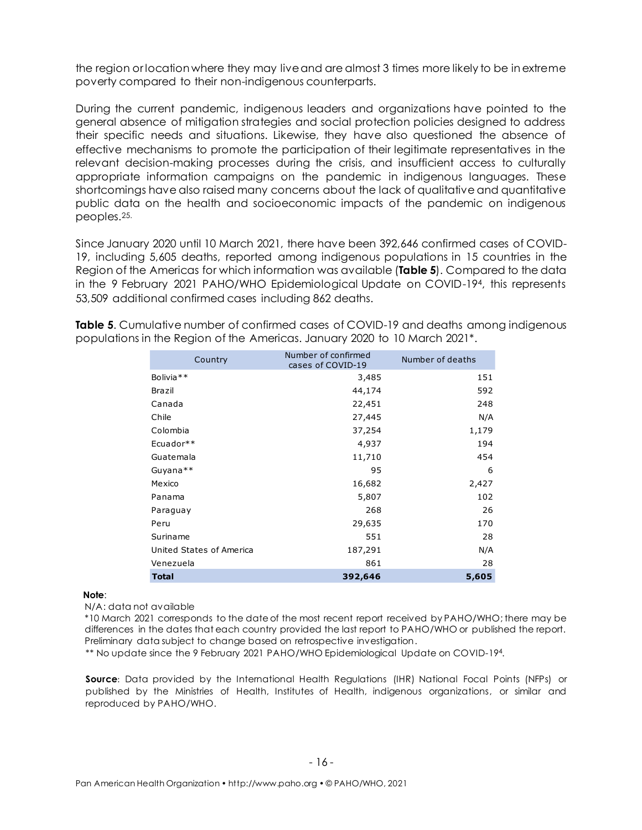the region or location where they may liveand are almost 3 times more likely to be in extreme poverty compared to their non-indigenous counterparts.

During the current pandemic, indigenous leaders and organizations have pointed to the general absence of mitigation strategies and social protection policies designed to address their specific needs and situations. Likewise, they have also questioned the absence of effective mechanisms to promote the participation of their legitimate representatives in the relevant decision-making processes during the crisis, and insufficient access to culturally appropriate information campaigns on the pandemic in indigenous languages. These shortcomings have also raised many concerns about the lack of qualitative and quantitative public data on the health and socioeconomic impacts of the pandemic on indigenous peoples. 25.

Since January 2020 until 10 March 2021, there have been 392,646 confirmed cases of COVID-19, including 5,605 deaths, reported among indigenous populations in 15 countries in the Region of the Americas for which information was available (**Table 5**). Compared to the data in the 9 February 2021 PAHO/WHO Epidemiological Update on COVID-194, this represents 53,509 additional confirmed cases including 862 deaths.

**Table 5**. Cumulative number of confirmed cases of COVID-19 and deaths among indigenous populations in the Region of the Americas. January 2020 to 10 March 2021\*.

| Country                  | Number of confirmed<br>cases of COVID-19 | Number of deaths |
|--------------------------|------------------------------------------|------------------|
| Bolivia <sup>**</sup>    | 3,485                                    | 151              |
| Brazil                   | 44,174                                   | 592              |
| Canada                   | 22,451                                   | 248              |
| Chile                    | 27,445                                   | N/A              |
| Colombia                 | 37,254                                   | 1,179            |
| Ecuador**                | 4,937                                    | 194              |
| Guatemala                | 11,710                                   | 454              |
| Guyana**                 | 95                                       | 6                |
| Mexico                   | 16,682                                   | 2,427            |
| Panama                   | 5,807                                    | 102              |
| Paraguay                 | 268                                      | 26               |
| Peru                     | 29,635                                   | 170              |
| Suriname                 | 551                                      | 28               |
| United States of America | 187,291                                  | N/A              |
| Venezuela                | 861                                      | 28               |
| <b>Total</b>             | 392,646                                  | 5,605            |

#### **Note**:

N/A: data not available

\*10 March 2021 corresponds to the date of the most recent report received by PAHO/WHO; there may be differences in the dates that each country provided the last report to PAHO/WHO or published the report. Preliminary data subject to change based on retrospective investigation.

\*\* No update since the 9 February 2021 PAHO/WHO Epidemiological Update on COVID-194.

Source: Data provided by the International Health Regulations (IHR) National Focal Points (NFPs) or published by the Ministries of Health, Institutes of Health, indigenous organizations, or similar and reproduced by PAHO/WHO.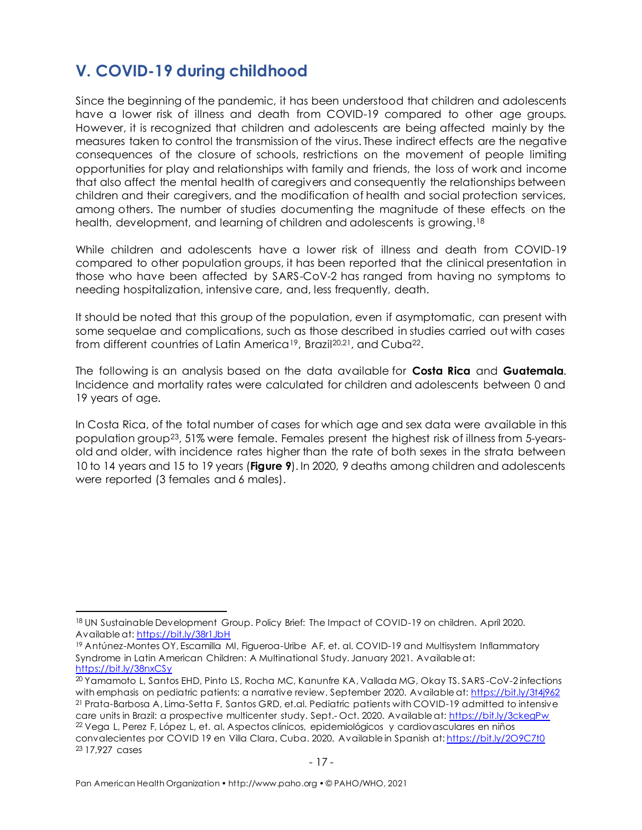# <span id="page-16-0"></span>**V. COVID-19 during childhood**

Since the beginning of the pandemic, it has been understood that children and adolescents have a lower risk of illness and death from COVID-19 compared to other age groups. However, it is recognized that children and adolescents are being affected mainly by the measures taken to control the transmission of the virus. These indirect effects are the negative consequences of the closure of schools, restrictions on the movement of people limiting opportunities for play and relationships with family and friends, the loss of work and income that also affect the mental health of caregivers and consequently the relationships between children and their caregivers, and the modification of health and social protection services, among others. The number of studies documenting the magnitude of these effects on the health, development, and learning of children and adolescents is growing.<sup>18</sup>

While children and adolescents have a lower risk of illness and death from COVID-19 compared to other population groups, it has been reported that the clinical presentation in those who have been affected by SARS-CoV-2 has ranged from having no symptoms to needing hospitalization, intensive care, and, less frequently, death.

It should be noted that this group of the population, even if asymptomatic, can present with some sequelae and complications, such as those described in studies carried out with cases from different countries of Latin America19, Brazil20,21, and Cuba22.

The following is an analysis based on the data available for **Costa Rica** and **Guatemala**. Incidence and mortality rates were calculated for children and adolescents between 0 and 19 years of age.

In Costa Rica, of the total number of cases for which age and sex data were available in this population group23, 51% were female. Females present the highest risk of illness from 5-yearsold and older, with incidence rates higher than the rate of both sexes in the strata between 10 to 14 years and 15 to 19 years (**Figure 9**). In 2020, 9 deaths among children and adolescents were reported (3 females and 6 males).

<sup>18</sup> UN Sustainable Development Group. Policy Brief: The Impact of COVID-19 on children. April 2020. Available at[: https://bit.ly/38r1JbH](https://bit.ly/38r1JbH)

<sup>19</sup> Antúnez-Montes OY, Escamilla MI, Figueroa-Uribe AF, et. al. COVID-19 and Multisystem Inflammatory Syndrome in Latin American Children: A Multinational Study. January 2021. Available at: <https://bit.ly/38nxCSy>

<sup>20</sup> Yamamoto L, Santos EHD, Pinto LS, Rocha MC, Kanunfre KA, Vallada MG, Okay TS. SARS -CoV-2 infections with emphasis on pediatric patients: a narrative review. September 2020. Available at:<https://bit.ly/3t4j962> <sup>21</sup> Prata-Barbosa A, Lima-Setta F, Santos GRD, et.al. Pediatric patients with COVID-19 admitted to intensive care units in Brazil: a prospective multicenter study. Sept.- Oct. 2020. Available at:<https://bit.ly/3ckegPw> <sup>22</sup> Vega L, Perez F, López L, et. al. Aspectos clínicos, epidemiológicos y cardiovasculares en niños convalecientes por COVID 19 en Villa Clara, Cuba. 2020. Available in Spanish at: <https://bit.ly/2O9C7t0> <sup>23</sup> 17,927 cases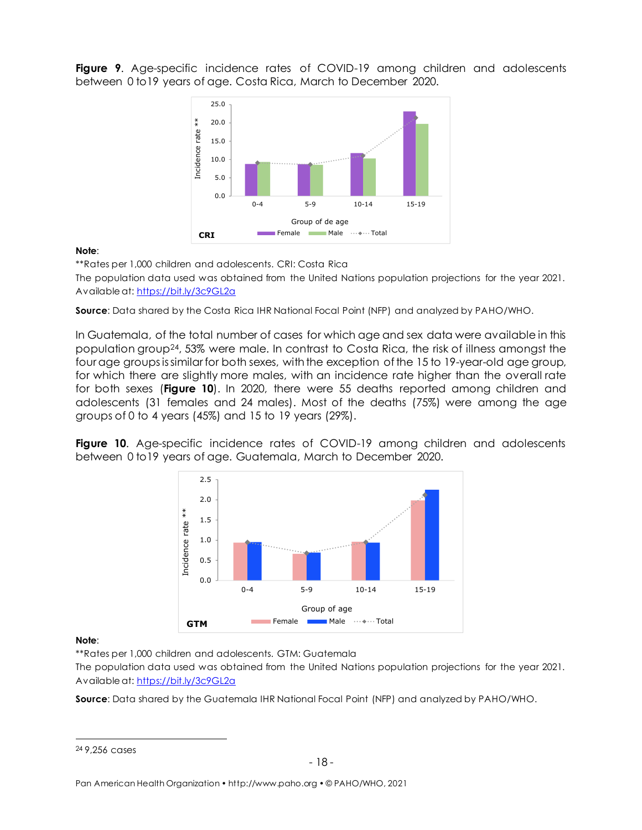**Figure 9**. Age-specific incidence rates of COVID-19 among children and adolescents between 0 to19 years of age. Costa Rica, March to December 2020.



**Note**:

\*\*Rates per 1,000 children and adolescents. CRI: Costa Rica

The population data used was obtained from the United Nations population projections for the year 2021. Available at[: https://bit.ly/3c9GL2a](https://bit.ly/3c9GL2a)

**Source:** Data shared by the Costa Rica IHR National Focal Point (NFP) and analyzed by PAHO/WHO.

In Guatemala, of the total number of cases for which age and sex data were available in this population group24, 53% were male. In contrast to Costa Rica, the risk of illness amongst the fourage groups issimilar for both sexes, with the exception of the 15 to 19-year-old age group, for which there are slightly more males, with an incidence rate higher than the overall rate for both sexes (**Figure 10**). In 2020, there were 55 deaths reported among children and adolescents (31 females and 24 males). Most of the deaths (75%) were among the age groups of 0 to 4 years (45%) and 15 to 19 years (29%).

**Figure 10**. Age-specific incidence rates of COVID-19 among children and adolescents between 0 to19 years of age. Guatemala, March to December 2020.



#### **Note**:

\*\*Rates per 1,000 children and adolescents. GTM: Guatemala

The population data used was obtained from the United Nations population projections for the year 2021. Available at[: https://bit.ly/3c9GL2a](https://bit.ly/3c9GL2a)

**Source**: Data shared by the Guatemala IHR National Focal Point (NFP) and analyzed by PAHO/WHO.

<sup>24</sup> 9,256 cases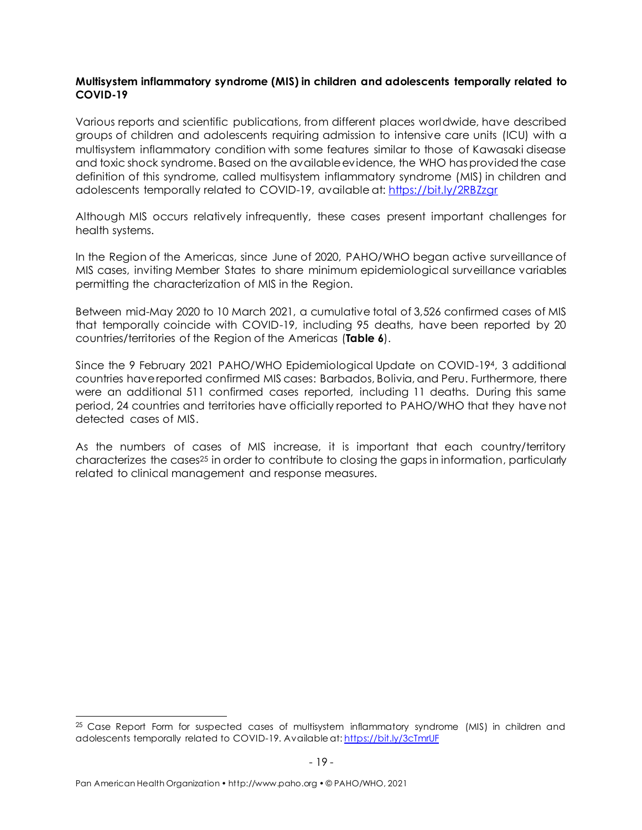#### <span id="page-18-0"></span>**Multisystem inflammatory syndrome (MIS) in children and adolescents temporally related to COVID-19**

Various reports and scientific publications, from different places worldwide, have described groups of children and adolescents requiring admission to intensive care units (ICU) with a multisystem inflammatory condition with some features similar to those of Kawasaki disease and toxic shock syndrome. Based on the available evidence, the WHO has provided the case definition of this syndrome, called multisystem inflammatory syndrome (MIS) in children and adolescents temporally related to COVID-19, available at:<https://bit.ly/2RBZzgr>

Although MIS occurs relatively infrequently, these cases present important challenges for health systems.

In the Region of the Americas, since June of 2020, PAHO/WHO began active surveillance of MIS cases, inviting Member States to share minimum epidemiological surveillance variables permitting the characterization of MIS in the Region.

Between mid-May 2020 to 10 March 2021, a cumulative total of 3,526 confirmed cases of MIS that temporally coincide with COVID-19, including 95 deaths, have been reported by 20 countries/territories of the Region of the Americas (**Table 6**).

Since the 9 February 2021 PAHO/WHO Epidemiological Update on COVID-194, 3 additional countries have reported confirmed MIS cases: Barbados, Bolivia, and Peru. Furthermore, there were an additional 511 confirmed cases reported, including 11 deaths. During this same period, 24 countries and territories have officially reported to PAHO/WHO that they have not detected cases of MIS.

As the numbers of cases of MIS increase, it is important that each country/territory characterizes the cases<sup>25</sup> in order to contribute to closing the gaps in information, particularly related to clinical management and response measures.

<sup>&</sup>lt;sup>25</sup> Case Report Form for suspected cases of multisystem inflammatory syndrome (MIS) in children and adolescents temporally related to COVID-19. Available at: <https://bit.ly/3cTmrUF>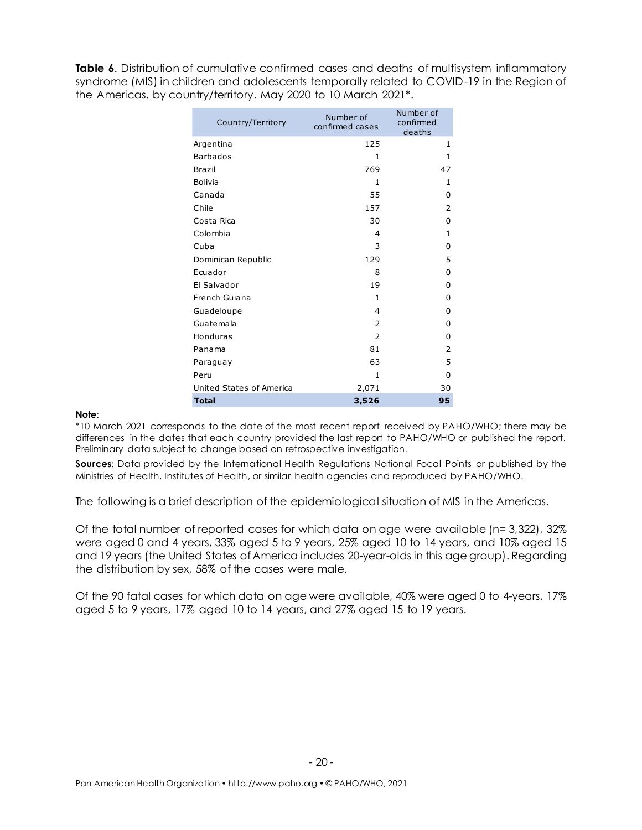**Table 6.** Distribution of cumulative confirmed cases and deaths of multisystem inflammatory syndrome (MIS) in children and adolescents temporally related to COVID-19 in the Region of the Americas, by country/territory. May 2020 to 10 March 2021\*.

| Country/Territory        | Number of<br>confirmed cases | Number of<br>confirmed<br>deaths |
|--------------------------|------------------------------|----------------------------------|
| Argentina                | 125                          | 1                                |
| <b>Barbados</b>          | 1                            | $\mathbf{1}$                     |
| Brazil                   | 769                          | 47                               |
| <b>Bolivia</b>           | $\mathbf{1}$                 | $\mathbf{1}$                     |
| Canada                   | 55                           | 0                                |
| Chile                    | 157                          | $\overline{2}$                   |
| Costa Rica               | 30                           | 0                                |
| Colombia                 | $\overline{a}$               | 1                                |
| Cuba                     | 3                            | 0                                |
| Dominican Republic       | 129                          | 5                                |
| Ecuador                  | 8                            | 0                                |
| El Salvador              | 19                           | 0                                |
| French Guiana            | $\mathbf{1}$                 | 0                                |
| Guadeloupe               | $\overline{4}$               | 0                                |
| Guatemala                | $\overline{2}$               | 0                                |
| Honduras                 | $\mathcal{P}$                | 0                                |
| Panama                   | 81                           | 2                                |
| Paraguay                 | 63                           | 5                                |
| Peru                     | 1                            | 0                                |
| United States of America | 2,071                        | 30                               |
| <b>Total</b>             | 3,526                        | 95                               |

#### **Note**:

\*10 March 2021 corresponds to the date of the most recent report received by PAHO/WHO; there may be differences in the dates that each country provided the last report to PAHO/WHO or published the report. Preliminary data subject to change based on retrospective investigation.

**Sources:** Data provided by the International Health Regulations National Focal Points or published by the Ministries of Health, Institutes of Health, or similar health agencies and reproduced by PAHO/WHO.

The following is a brief description of the epidemiological situation of MIS in the Americas.

Of the total number of reported cases for which data on age were available (n= 3,322), 32% were aged 0 and 4 years, 33% aged 5 to 9 years, 25% aged 10 to 14 years, and 10% aged 15 and 19 years (the United States of America includes 20-year-olds in this age group). Regarding the distribution by sex, 58% of the cases were male.

Of the 90 fatal cases for which data on age were available, 40% were aged 0 to 4-years, 17% aged 5 to 9 years, 17% aged 10 to 14 years, and 27% aged 15 to 19 years.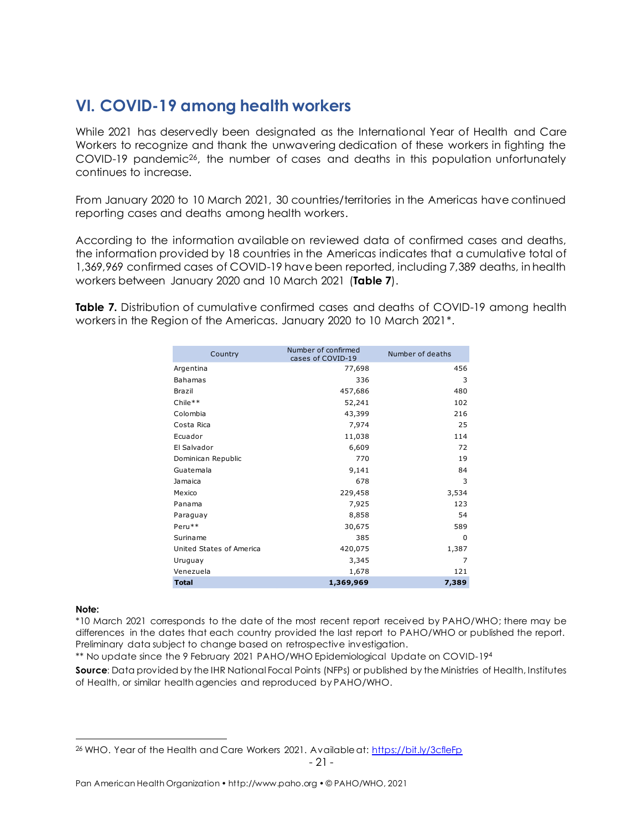### <span id="page-20-0"></span>**VI. COVID-19 among health workers**

While 2021 has deservedly been designated as the International Year of Health and Care Workers to recognize and thank the unwavering dedication of these workers in fighting the COVID-19 pandemic<sup>26</sup>, the number of cases and deaths in this population unfortunately continues to increase.

From January 2020 to 10 March 2021, 30 countries/territories in the Americas have continued reporting cases and deaths among health workers.

According to the information available on reviewed data of confirmed cases and deaths, the information provided by 18 countries in the Americas indicates that a cumulative total of 1,369,969 confirmed cases of COVID-19 have been reported, including 7,389 deaths, in health workers between January 2020 and 10 March 2021 (**Table 7**).

**Table 7.** Distribution of cumulative confirmed cases and deaths of COVID-19 among health workers in the Region of the Americas. January 2020 to 10 March 2021\*.

| Country                  | Number of confirmed<br>cases of COVID-19 | Number of deaths |
|--------------------------|------------------------------------------|------------------|
| Argentina                | 77,698                                   | 456              |
| <b>Bahamas</b>           | 336                                      | 3                |
| Brazil                   | 457,686                                  | 480              |
| Chile**                  | 52,241                                   | 102              |
| Colombia                 | 43,399                                   | 216              |
| Costa Rica               | 7,974                                    | 25               |
| Ecuador                  | 11,038                                   | 114              |
| El Salvador              | 6,609                                    | 72               |
| Dominican Republic       | 770                                      | 19               |
| Guatemala                | 9,141                                    | 84               |
| Jamaica                  | 678                                      | 3                |
| Mexico                   | 229,458                                  | 3,534            |
| Panama                   | 7,925                                    | 123              |
| Paraguay                 | 8,858                                    | 54               |
| Peru**                   | 30,675                                   | 589              |
| Suriname                 | 385                                      | $\Omega$         |
| United States of America | 420,075                                  | 1,387            |
| Uruguay                  | 3,345                                    | 7                |
| Venezuela                | 1,678                                    | 121              |
| <b>Total</b>             | 1,369,969                                | 7,389            |

**Note:**

\*10 March 2021 corresponds to the date of the most recent report received by PAHO/WHO; there may be differences in the dates that each country provided the last report to PAHO/WHO or published the report. Preliminary data subject to change based on retrospective investigation.

\*\* No update since the 9 February 2021 PAHO/WHO Epidemiological Update on COVID-19<sup>4</sup>

**Source:** Data provided by the IHR National Focal Points (NFPs) or published by the Ministries of Health, Institutes of Health, or similar health agencies and reproduced by PAHO/WHO.

<sup>-</sup> 21 <sup>26</sup> WHO. Year of the Health and Care Workers 2021. Available at:<https://bit.ly/3cfleFp>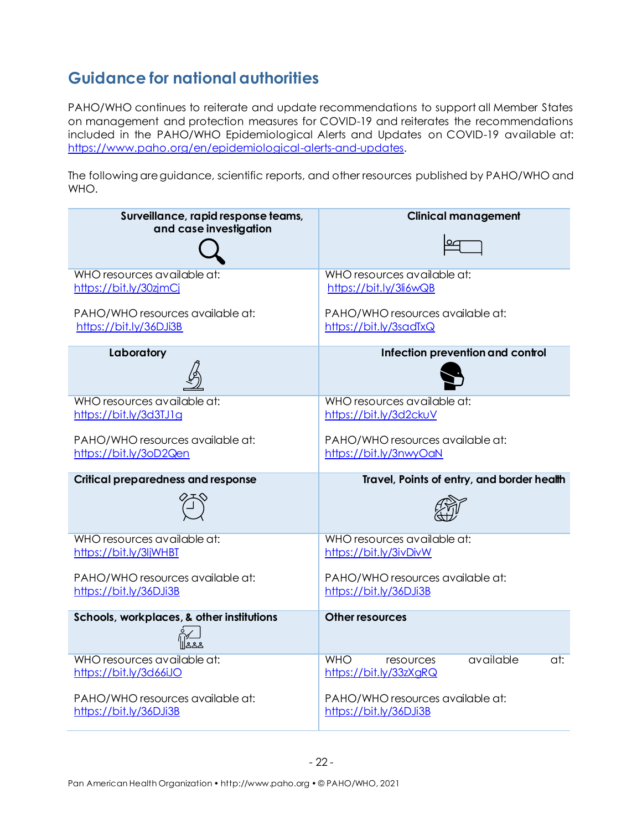# <span id="page-21-0"></span>**Guidance for national authorities**

PAHO/WHO continues to reiterate and update recommendations to support all Member States on management and protection measures for COVID-19 and reiterates the recommendations included in the PAHO/WHO Epidemiological Alerts and Updates on COVID-19 available at: [https://www.paho.org/en/epidemiological-alerts-and-updates.](https://www.paho.org/en/epidemiological-alerts-and-updates)

The following are guidance, scientific reports, and other resources published by PAHO/WHO and WHO.

| Surveillance, rapid response teams,                        | <b>Clinical management</b>                                            |
|------------------------------------------------------------|-----------------------------------------------------------------------|
| and case investigation                                     |                                                                       |
| WHO resources available at:<br>https://bit.ly/30zjmCj      | WHO resources available at:<br>https://bit.ly/3li6wQB                 |
| PAHO/WHO resources available at:<br>https://bit.ly/36DJi3B | PAHO/WHO resources available at:<br>https://bit.ly/3sadTxQ            |
| Laboratory                                                 | Infection prevention and control                                      |
| WHO resources available at:<br>https://bit.ly/3d3TJ1g      | WHO resources available at:<br>https://bit.ly/3d2ckuV                 |
| PAHO/WHO resources available at:<br>https://bit.ly/3oD2Qen | PAHO/WHO resources available at:<br>https://bit.ly/3nwyOaN            |
|                                                            |                                                                       |
| <b>Critical preparedness and response</b>                  | Travel, Points of entry, and border health                            |
|                                                            |                                                                       |
| WHO resources available at:<br>https://bit.ly/3ljWHBT      | WHO resources available at:<br>https://bit.ly/3ivDivW                 |
| PAHO/WHO resources available at:<br>https://bit.ly/36DJi3B | PAHO/WHO resources available at:<br>https://bit.ly/36DJi3B            |
| Schools, workplaces, & other institutions                  | <b>Other resources</b>                                                |
| WHO resources available at:<br>https://bit.ly/3d66iJO      | available<br><b>WHO</b><br>at:<br>resources<br>https://bit.ly/33zXgRQ |